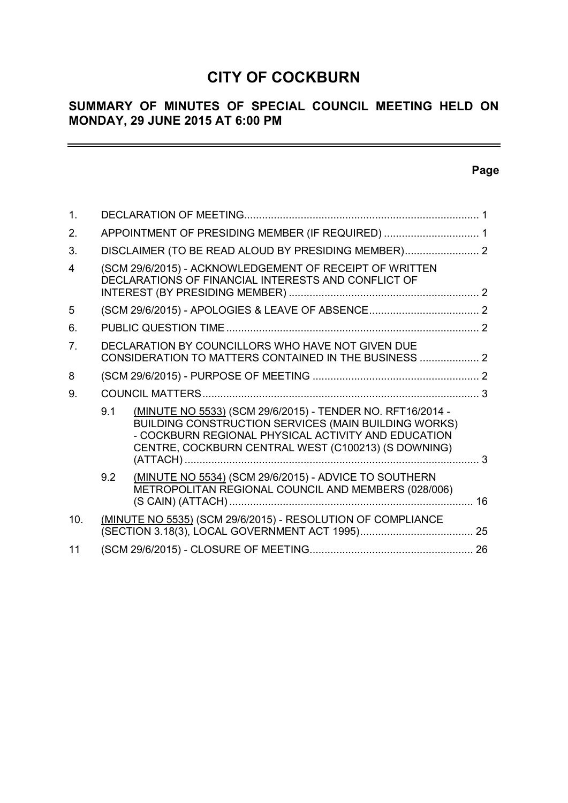# **CITY OF COCKBURN**

# **SUMMARY OF MINUTES OF SPECIAL COUNCIL MEETING HELD ON MONDAY, 29 JUNE 2015 AT 6:00 PM**

# **Page**

 $\equiv$ 

| $\mathbf{1}$ .          |     |                                                                                                                                                                                                                                         |    |
|-------------------------|-----|-----------------------------------------------------------------------------------------------------------------------------------------------------------------------------------------------------------------------------------------|----|
| 2.                      |     | APPOINTMENT OF PRESIDING MEMBER (IF REQUIRED)  1                                                                                                                                                                                        |    |
| 3.                      |     | DISCLAIMER (TO BE READ ALOUD BY PRESIDING MEMBER) 2                                                                                                                                                                                     |    |
| $\overline{\mathbf{4}}$ |     | (SCM 29/6/2015) - ACKNOWLEDGEMENT OF RECEIPT OF WRITTEN<br>DECLARATIONS OF FINANCIAL INTERESTS AND CONFLICT OF                                                                                                                          |    |
| 5                       |     |                                                                                                                                                                                                                                         |    |
| 6.                      |     |                                                                                                                                                                                                                                         |    |
| $\overline{7}$          |     | DECLARATION BY COUNCILLORS WHO HAVE NOT GIVEN DUE<br>CONSIDERATION TO MATTERS CONTAINED IN THE BUSINESS  2                                                                                                                              |    |
| 8                       |     |                                                                                                                                                                                                                                         |    |
| 9.                      |     |                                                                                                                                                                                                                                         |    |
|                         | 9.1 | (MINUTE NO 5533) (SCM 29/6/2015) - TENDER NO. RFT16/2014 -<br><b>BUILDING CONSTRUCTION SERVICES (MAIN BUILDING WORKS)</b><br>- COCKBURN REGIONAL PHYSICAL ACTIVITY AND EDUCATION<br>CENTRE, COCKBURN CENTRAL WEST (C100213) (S DOWNING) |    |
|                         | 9.2 | (MINUTE NO 5534) (SCM 29/6/2015) - ADVICE TO SOUTHERN<br>METROPOLITAN REGIONAL COUNCIL AND MEMBERS (028/006)                                                                                                                            | 16 |
| 10.                     |     | (MINUTE NO 5535) (SCM 29/6/2015) - RESOLUTION OF COMPLIANCE                                                                                                                                                                             |    |
| 11                      |     |                                                                                                                                                                                                                                         |    |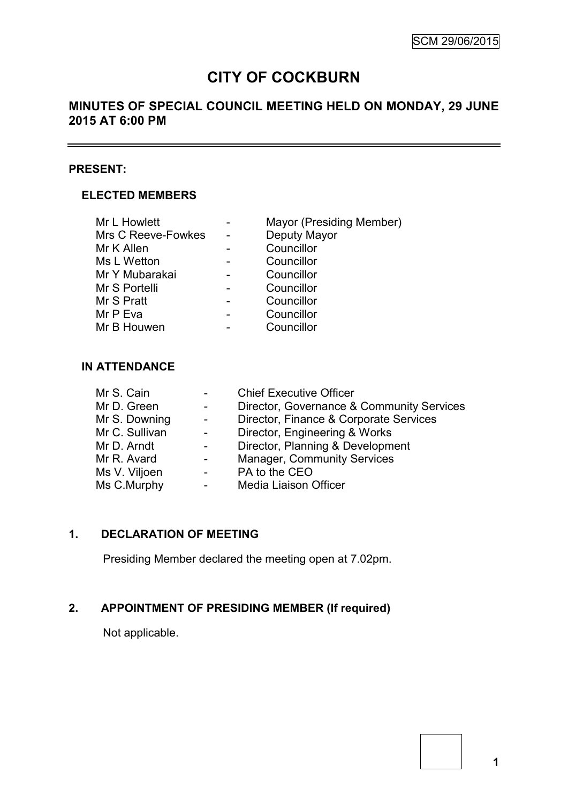$\sim$ 

# **CITY OF COCKBURN**

# **MINUTES OF SPECIAL COUNCIL MEETING HELD ON MONDAY, 29 JUNE 2015 AT 6:00 PM**

# **PRESENT:**

# **ELECTED MEMBERS**

| Mr L Howlett       | Mayor (Presiding Member) |
|--------------------|--------------------------|
| Mrs C Reeve-Fowkes | Deputy Mayor             |
| Mr K Allen         | Councillor               |
| Ms L Wetton        | Councillor               |
| Mr Y Mubarakai     | Councillor               |
| Mr S Portelli      | Councillor               |
| Mr S Pratt         | Councillor               |
| Mr P Eva           | Councillor               |
| Mr B Houwen        | Councillor               |
|                    |                          |

# **IN ATTENDANCE**

| Mr S. Cain     |        | <b>Chief Executive Officer</b>            |
|----------------|--------|-------------------------------------------|
| Mr D. Green    |        | Director, Governance & Community Services |
| Mr S. Downing  | $\sim$ | Director, Finance & Corporate Services    |
| Mr C. Sullivan |        | Director, Engineering & Works             |
| Mr D. Arndt    |        | Director, Planning & Development          |
| Mr R. Avard    |        | <b>Manager, Community Services</b>        |
| Ms V. Viljoen  |        | PA to the CEO                             |
| Ms C.Murphy    |        | Media Liaison Officer                     |
|                |        |                                           |

# **1. DECLARATION OF MEETING**

Presiding Member declared the meeting open at 7.02pm.

# **2. APPOINTMENT OF PRESIDING MEMBER (If required)**

Not applicable.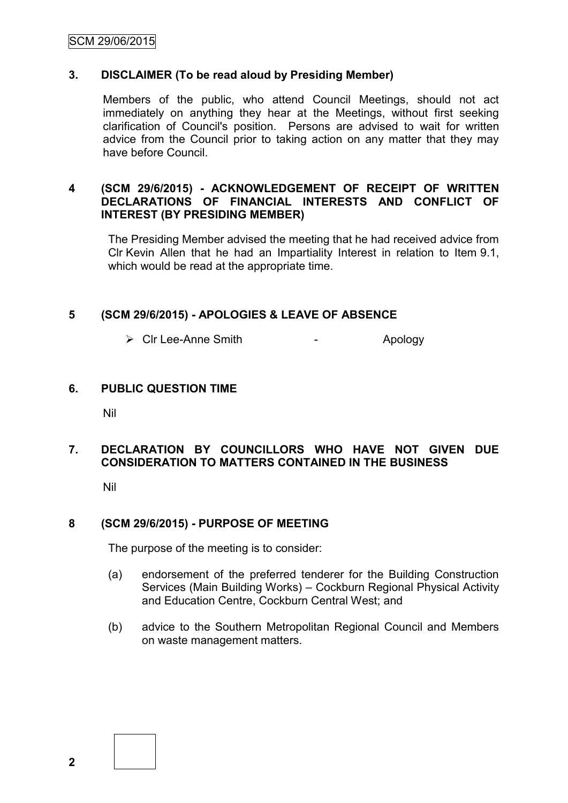# SCM 29/06/2015

#### **3. DISCLAIMER (To be read aloud by Presiding Member)**

Members of the public, who attend Council Meetings, should not act immediately on anything they hear at the Meetings, without first seeking clarification of Council's position. Persons are advised to wait for written advice from the Council prior to taking action on any matter that they may have before Council.

### **4 (SCM 29/6/2015) - ACKNOWLEDGEMENT OF RECEIPT OF WRITTEN DECLARATIONS OF FINANCIAL INTERESTS AND CONFLICT OF INTEREST (BY PRESIDING MEMBER)**

The Presiding Member advised the meeting that he had received advice from Clr Kevin Allen that he had an Impartiality Interest in relation to Item 9.1, which would be read at the appropriate time.

#### **5 (SCM 29/6/2015) - APOLOGIES & LEAVE OF ABSENCE**

> Cir Lee-Anne Smith - Apology

#### **6. PUBLIC QUESTION TIME**

Nil

# **7. DECLARATION BY COUNCILLORS WHO HAVE NOT GIVEN DUE CONSIDERATION TO MATTERS CONTAINED IN THE BUSINESS**

Nil

# **8 (SCM 29/6/2015) - PURPOSE OF MEETING**

The purpose of the meeting is to consider:

- (a) endorsement of the preferred tenderer for the Building Construction Services (Main Building Works) – Cockburn Regional Physical Activity and Education Centre, Cockburn Central West; and
- (b) advice to the Southern Metropolitan Regional Council and Members on waste management matters.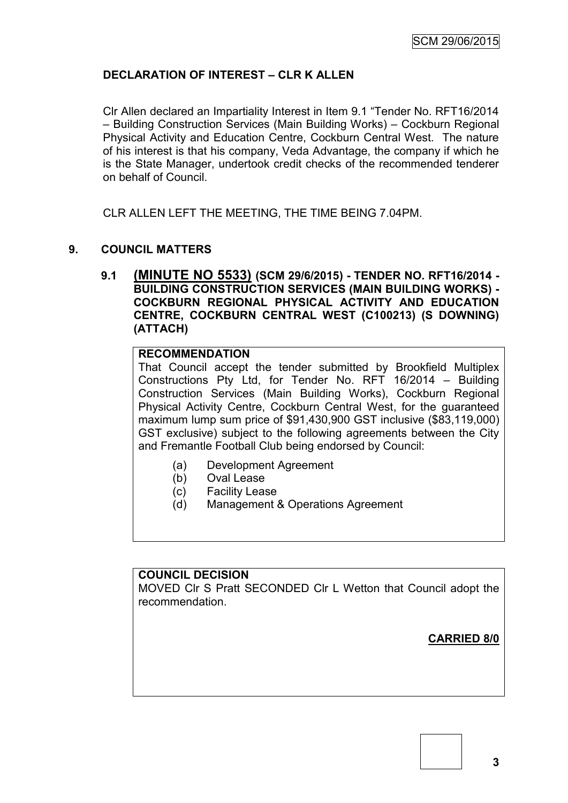# **DECLARATION OF INTEREST – CLR K ALLEN**

Clr Allen declared an Impartiality Interest in Item 9.1 "Tender No. RFT16/2014 – Building Construction Services (Main Building Works) – Cockburn Regional Physical Activity and Education Centre, Cockburn Central West. The nature of his interest is that his company, Veda Advantage, the company if which he is the State Manager, undertook credit checks of the recommended tenderer on behalf of Council.

CLR ALLEN LEFT THE MEETING, THE TIME BEING 7.04PM.

# **9. COUNCIL MATTERS**

**9.1 (MINUTE NO 5533) (SCM 29/6/2015) - TENDER NO. RFT16/2014 - BUILDING CONSTRUCTION SERVICES (MAIN BUILDING WORKS) - COCKBURN REGIONAL PHYSICAL ACTIVITY AND EDUCATION CENTRE, COCKBURN CENTRAL WEST (C100213) (S DOWNING) (ATTACH)**

### **RECOMMENDATION**

That Council accept the tender submitted by Brookfield Multiplex Constructions Pty Ltd, for Tender No. RFT 16/2014 – Building Construction Services (Main Building Works), Cockburn Regional Physical Activity Centre, Cockburn Central West, for the guaranteed maximum lump sum price of \$91,430,900 GST inclusive (\$83,119,000) GST exclusive) subject to the following agreements between the City and Fremantle Football Club being endorsed by Council:

- (a) Development Agreement
- (b) Oval Lease
- (c) Facility Lease
- (d) Management & Operations Agreement

### **COUNCIL DECISION**

MOVED Clr S Pratt SECONDED Clr L Wetton that Council adopt the recommendation.

**CARRIED 8/0**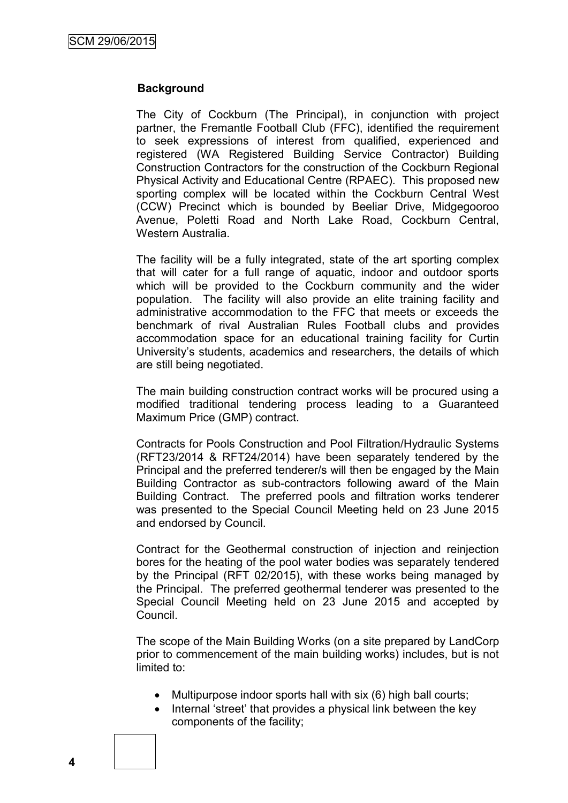# **Background**

The City of Cockburn (The Principal), in conjunction with project partner, the Fremantle Football Club (FFC), identified the requirement to seek expressions of interest from qualified, experienced and registered (WA Registered Building Service Contractor) Building Construction Contractors for the construction of the Cockburn Regional Physical Activity and Educational Centre (RPAEC). This proposed new sporting complex will be located within the Cockburn Central West (CCW) Precinct which is bounded by Beeliar Drive, Midgegooroo Avenue, Poletti Road and North Lake Road, Cockburn Central, Western Australia.

The facility will be a fully integrated, state of the art sporting complex that will cater for a full range of aquatic, indoor and outdoor sports which will be provided to the Cockburn community and the wider population. The facility will also provide an elite training facility and administrative accommodation to the FFC that meets or exceeds the benchmark of rival Australian Rules Football clubs and provides accommodation space for an educational training facility for Curtin University"s students, academics and researchers, the details of which are still being negotiated.

The main building construction contract works will be procured using a modified traditional tendering process leading to a Guaranteed Maximum Price (GMP) contract.

Contracts for Pools Construction and Pool Filtration/Hydraulic Systems (RFT23/2014 & RFT24/2014) have been separately tendered by the Principal and the preferred tenderer/s will then be engaged by the Main Building Contractor as sub-contractors following award of the Main Building Contract. The preferred pools and filtration works tenderer was presented to the Special Council Meeting held on 23 June 2015 and endorsed by Council.

Contract for the Geothermal construction of injection and reinjection bores for the heating of the pool water bodies was separately tendered by the Principal (RFT 02/2015), with these works being managed by the Principal. The preferred geothermal tenderer was presented to the Special Council Meeting held on 23 June 2015 and accepted by Council.

The scope of the Main Building Works (on a site prepared by LandCorp prior to commencement of the main building works) includes, but is not limited to:

- Multipurpose indoor sports hall with six (6) high ball courts;
- Internal "street" that provides a physical link between the key components of the facility;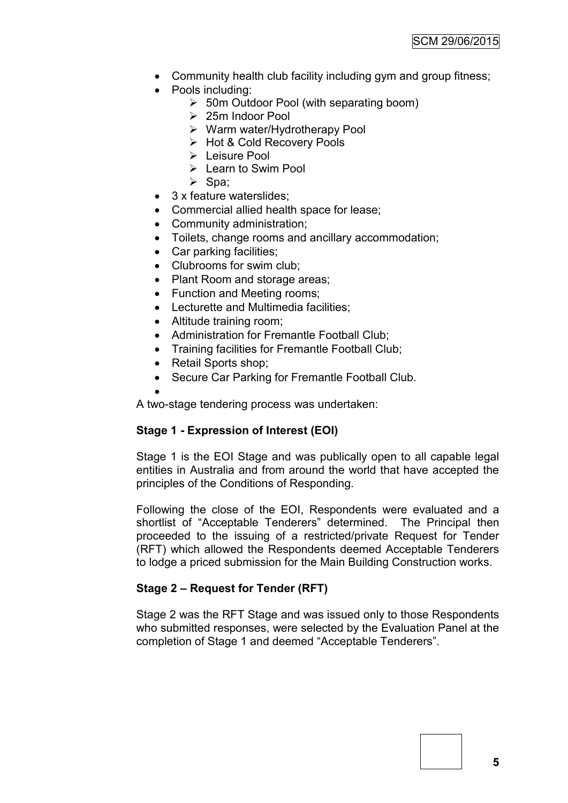- Community health club facility including gym and group fitness;
- Pools including:
	- 50m Outdoor Pool (with separating boom)
	- 25m Indoor Pool
	- $\triangleright$  Warm water/Hydrotherapy Pool
	- Hot & Cold Recovery Pools
	- Leisure Pool
	- $\triangleright$  Learn to Swim Pool
	- $\triangleright$  Spa;
- 3 x feature waterslides;
- Commercial allied health space for lease;
- Community administration;
- Toilets, change rooms and ancillary accommodation;
- Car parking facilities;
- Clubrooms for swim club;
- Plant Room and storage areas;
- Function and Meeting rooms;
- Lecturette and Multimedia facilities;
- Altitude training room;
- Administration for Fremantle Football Club;
- Training facilities for Fremantle Football Club;
- Retail Sports shop;
- Secure Car Parking for Fremantle Football Club.
- $\bullet$

A two-stage tendering process was undertaken:

# **Stage 1 - Expression of Interest (EOI)**

Stage 1 is the EOI Stage and was publically open to all capable legal entities in Australia and from around the world that have accepted the principles of the Conditions of Responding.

Following the close of the EOI, Respondents were evaluated and a shortlist of "Acceptable Tenderers" determined. The Principal then proceeded to the issuing of a restricted/private Request for Tender (RFT) which allowed the Respondents deemed Acceptable Tenderers to lodge a priced submission for the Main Building Construction works.

# **Stage 2 – Request for Tender (RFT)**

Stage 2 was the RFT Stage and was issued only to those Respondents who submitted responses, were selected by the Evaluation Panel at the completion of Stage 1 and deemed "Acceptable Tenderers".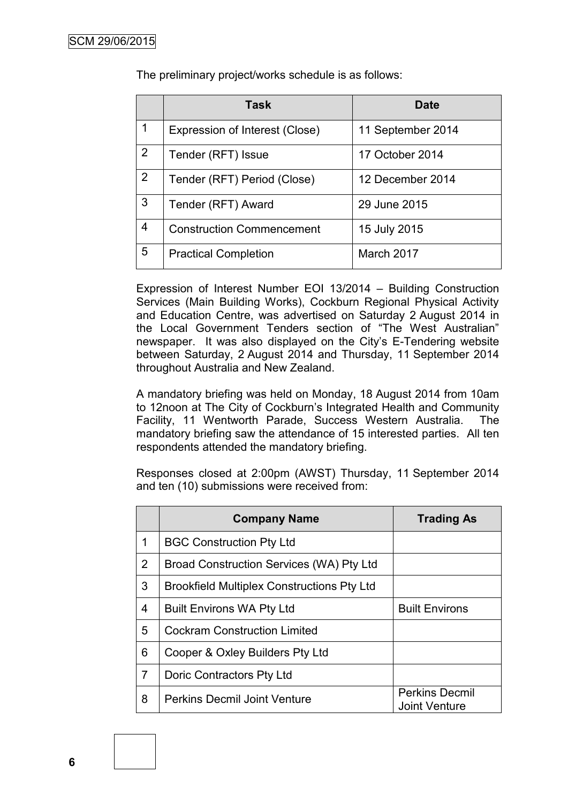|                | <b>Task</b>                      | <b>Date</b>       |
|----------------|----------------------------------|-------------------|
| 1              | Expression of Interest (Close)   | 11 September 2014 |
| $\overline{2}$ | Tender (RFT) Issue               | 17 October 2014   |
| 2              | Tender (RFT) Period (Close)      | 12 December 2014  |
| 3              | Tender (RFT) Award               | 29 June 2015      |
| 4              | <b>Construction Commencement</b> | 15 July 2015      |
| 5              | <b>Practical Completion</b>      | March 2017        |

The preliminary project/works schedule is as follows:

Expression of Interest Number EOI 13/2014 – Building Construction Services (Main Building Works), Cockburn Regional Physical Activity and Education Centre, was advertised on Saturday 2 August 2014 in the Local Government Tenders section of "The West Australian" newspaper. It was also displayed on the City"s E-Tendering website between Saturday, 2 August 2014 and Thursday, 11 September 2014 throughout Australia and New Zealand.

A mandatory briefing was held on Monday, 18 August 2014 from 10am to 12noon at The City of Cockburn"s Integrated Health and Community Facility, 11 Wentworth Parade, Success Western Australia. The mandatory briefing saw the attendance of 15 interested parties. All ten respondents attended the mandatory briefing.

Responses closed at 2:00pm (AWST) Thursday, 11 September 2014 and ten (10) submissions were received from:

|                | <b>Company Name</b>                               | <b>Trading As</b>                             |
|----------------|---------------------------------------------------|-----------------------------------------------|
| 1              | <b>BGC Construction Pty Ltd</b>                   |                                               |
| $\overline{2}$ | Broad Construction Services (WA) Pty Ltd          |                                               |
| 3              | <b>Brookfield Multiplex Constructions Pty Ltd</b> |                                               |
| 4              | <b>Built Environs WA Pty Ltd</b>                  | <b>Built Environs</b>                         |
| 5              | <b>Cockram Construction Limited</b>               |                                               |
| 6              | Cooper & Oxley Builders Pty Ltd                   |                                               |
| $\overline{7}$ | Doric Contractors Pty Ltd                         |                                               |
| 8              | <b>Perkins Decmil Joint Venture</b>               | <b>Perkins Decmil</b><br><b>Joint Venture</b> |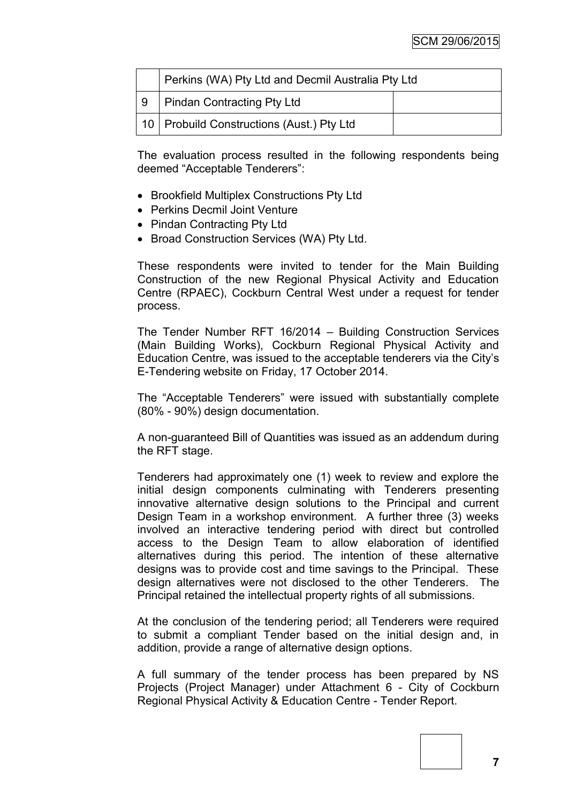|     | Perkins (WA) Pty Ltd and Decmil Australia Pty Ltd |  |
|-----|---------------------------------------------------|--|
| l 9 | Pindan Contracting Pty Ltd                        |  |
|     | 10   Probuild Constructions (Aust.) Pty Ltd       |  |

The evaluation process resulted in the following respondents being deemed "Acceptable Tenderers":

- Brookfield Multiplex Constructions Pty Ltd
- Perkins Decmil Joint Venture
- Pindan Contracting Pty Ltd
- Broad Construction Services (WA) Pty Ltd.

These respondents were invited to tender for the Main Building Construction of the new Regional Physical Activity and Education Centre (RPAEC), Cockburn Central West under a request for tender process.

The Tender Number RFT 16/2014 – Building Construction Services (Main Building Works), Cockburn Regional Physical Activity and Education Centre, was issued to the acceptable tenderers via the City"s E-Tendering website on Friday, 17 October 2014.

The "Acceptable Tenderers" were issued with substantially complete (80% - 90%) design documentation.

A non-guaranteed Bill of Quantities was issued as an addendum during the RFT stage.

Tenderers had approximately one (1) week to review and explore the initial design components culminating with Tenderers presenting innovative alternative design solutions to the Principal and current Design Team in a workshop environment. A further three (3) weeks involved an interactive tendering period with direct but controlled access to the Design Team to allow elaboration of identified alternatives during this period. The intention of these alternative designs was to provide cost and time savings to the Principal. These design alternatives were not disclosed to the other Tenderers. The Principal retained the intellectual property rights of all submissions.

At the conclusion of the tendering period; all Tenderers were required to submit a compliant Tender based on the initial design and, in addition, provide a range of alternative design options.

A full summary of the tender process has been prepared by NS Projects (Project Manager) under Attachment 6 - City of Cockburn Regional Physical Activity & Education Centre - Tender Report.



**7**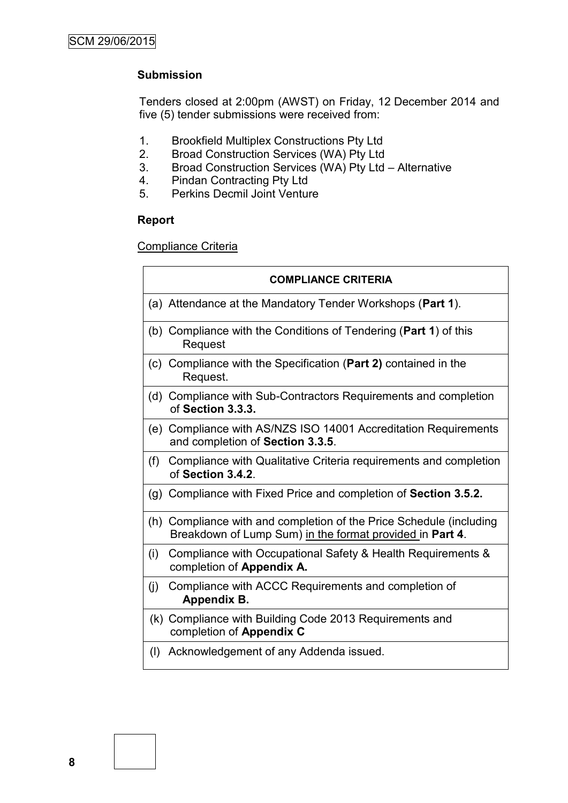# **Submission**

Tenders closed at 2:00pm (AWST) on Friday, 12 December 2014 and five (5) tender submissions were received from:

- 1. Brookfield Multiplex Constructions Pty Ltd
- 2. Broad Construction Services (WA) Pty Ltd
- 3. Broad Construction Services (WA) Pty Ltd Alternative
- 4. Pindan Contracting Pty Ltd<br>5. Perkins Decmil Joint Ventur
- 5. Perkins Decmil Joint Venture

#### **Report**

Compliance Criteria

|     | <b>COMPLIANCE CRITERIA</b>                                                                                                      |
|-----|---------------------------------------------------------------------------------------------------------------------------------|
|     | (a) Attendance at the Mandatory Tender Workshops (Part 1).                                                                      |
|     | (b) Compliance with the Conditions of Tendering (Part 1) of this<br>Request                                                     |
|     | (c) Compliance with the Specification (Part 2) contained in the<br>Request.                                                     |
|     | (d) Compliance with Sub-Contractors Requirements and completion<br>of Section 3.3.3.                                            |
|     | (e) Compliance with AS/NZS ISO 14001 Accreditation Requirements<br>and completion of Section 3.3.5.                             |
|     | (f) Compliance with Qualitative Criteria requirements and completion<br>of Section 3.4.2.                                       |
|     | (g) Compliance with Fixed Price and completion of Section 3.5.2.                                                                |
|     | (h) Compliance with and completion of the Price Schedule (including<br>Breakdown of Lump Sum) in the format provided in Part 4. |
| (i) | Compliance with Occupational Safety & Health Requirements &<br>completion of Appendix A.                                        |
| (i) | Compliance with ACCC Requirements and completion of<br>Appendix B.                                                              |
|     | (k) Compliance with Building Code 2013 Requirements and<br>completion of Appendix C                                             |
| (1) | Acknowledgement of any Addenda issued.                                                                                          |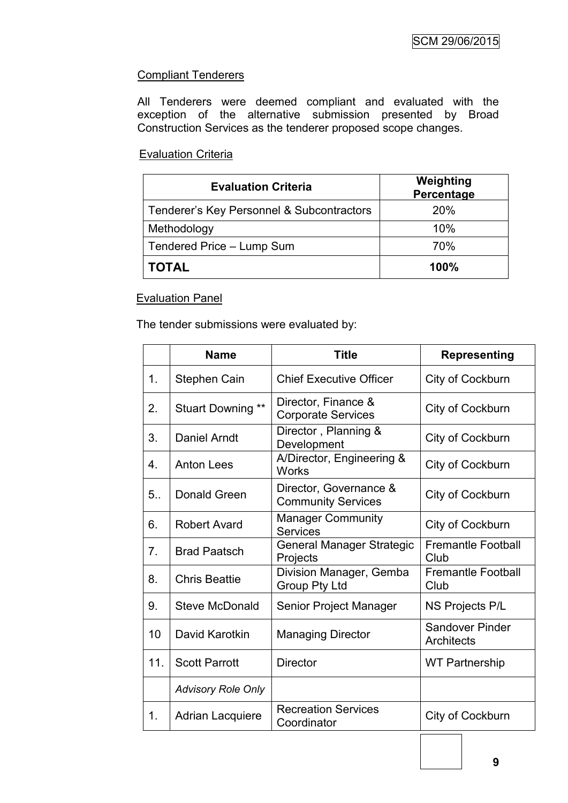# **Compliant Tenderers**

All Tenderers were deemed compliant and evaluated with the exception of the alternative submission presented by Broad Construction Services as the tenderer proposed scope changes.

# Evaluation Criteria

| <b>Evaluation Criteria</b>                | Weighting<br>Percentage |
|-------------------------------------------|-------------------------|
| Tenderer's Key Personnel & Subcontractors | <b>20%</b>              |
| Methodology                               | 10%                     |
| Tendered Price - Lump Sum                 | 70%                     |
| <b>TOTAL</b>                              | 100%                    |

# Evaluation Panel

The tender submissions were evaluated by:

|                | <b>Name</b>               | <b>Title</b>                                        | <b>Representing</b>                         |
|----------------|---------------------------|-----------------------------------------------------|---------------------------------------------|
| 1.             | Stephen Cain              | <b>Chief Executive Officer</b>                      | City of Cockburn                            |
| 2.             | Stuart Downing **         | Director, Finance &<br><b>Corporate Services</b>    | City of Cockburn                            |
| 3.             | Daniel Arndt              | Director, Planning &<br>Development                 | City of Cockburn                            |
| 4.             | <b>Anton Lees</b>         | A/Director, Engineering &<br><b>Works</b>           | City of Cockburn                            |
| 5.             | Donald Green              | Director, Governance &<br><b>Community Services</b> | City of Cockburn                            |
| 6.             | <b>Robert Avard</b>       | <b>Manager Community</b><br><b>Services</b>         | City of Cockburn                            |
| 7 <sub>1</sub> | <b>Brad Paatsch</b>       | <b>General Manager Strategic</b><br>Projects        | <b>Fremantle Football</b><br>Club           |
| 8.             | <b>Chris Beattie</b>      | Division Manager, Gemba<br>Group Pty Ltd            | <b>Fremantle Football</b><br>Club           |
| 9.             | <b>Steve McDonald</b>     | Senior Project Manager                              | <b>NS Projects P/L</b>                      |
| 10             | David Karotkin            | <b>Managing Director</b>                            | <b>Sandover Pinder</b><br><b>Architects</b> |
| 11.            | <b>Scott Parrott</b>      | <b>Director</b>                                     | <b>WT Partnership</b>                       |
|                | <b>Advisory Role Only</b> |                                                     |                                             |
| 1.             | <b>Adrian Lacquiere</b>   | <b>Recreation Services</b><br>Coordinator           | City of Cockburn                            |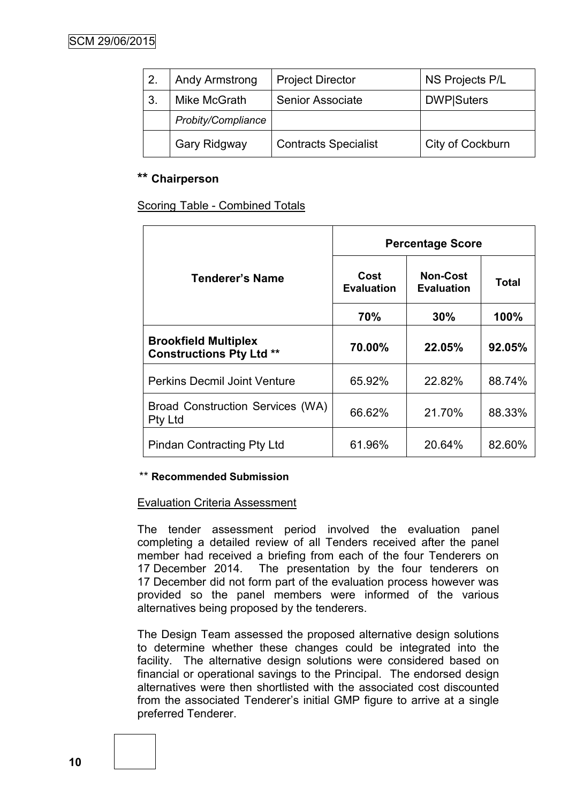| 2. | <b>Andy Armstrong</b> | <b>Project Director</b>     | NS Projects P/L    |
|----|-----------------------|-----------------------------|--------------------|
| 3. | Mike McGrath          | <b>Senior Associate</b>     | <b>DWP</b>  Suters |
|    | Probity/Compliance    |                             |                    |
|    | Gary Ridgway          | <b>Contracts Specialist</b> | City of Cockburn   |

# **\*\* Chairperson**

Scoring Table - Combined Totals

|                                                                | <b>Percentage Score</b>   |                                      |        |
|----------------------------------------------------------------|---------------------------|--------------------------------------|--------|
| Tenderer's Name                                                | Cost<br><b>Evaluation</b> | <b>Non-Cost</b><br><b>Evaluation</b> | Total  |
|                                                                | 70%                       | 30%                                  | 100%   |
| <b>Brookfield Multiplex</b><br><b>Constructions Pty Ltd **</b> | 70.00%                    | 22.05%                               | 92.05% |
| <b>Perkins Decmil Joint Venture</b>                            | 65.92%                    | 22.82%                               | 88.74% |
| Broad Construction Services (WA)<br><b>Pty Ltd</b>             | 66.62%                    | 21.70%                               | 88.33% |
| <b>Pindan Contracting Pty Ltd</b>                              | 61.96%                    | 20.64%                               | 82.60% |

# \*\* **Recommended Submission**

# Evaluation Criteria Assessment

The tender assessment period involved the evaluation panel completing a detailed review of all Tenders received after the panel member had received a briefing from each of the four Tenderers on 17 December 2014. The presentation by the four tenderers on 17 December did not form part of the evaluation process however was provided so the panel members were informed of the various alternatives being proposed by the tenderers.

The Design Team assessed the proposed alternative design solutions to determine whether these changes could be integrated into the facility. The alternative design solutions were considered based on financial or operational savings to the Principal. The endorsed design alternatives were then shortlisted with the associated cost discounted from the associated Tenderer"s initial GMP figure to arrive at a single preferred Tenderer.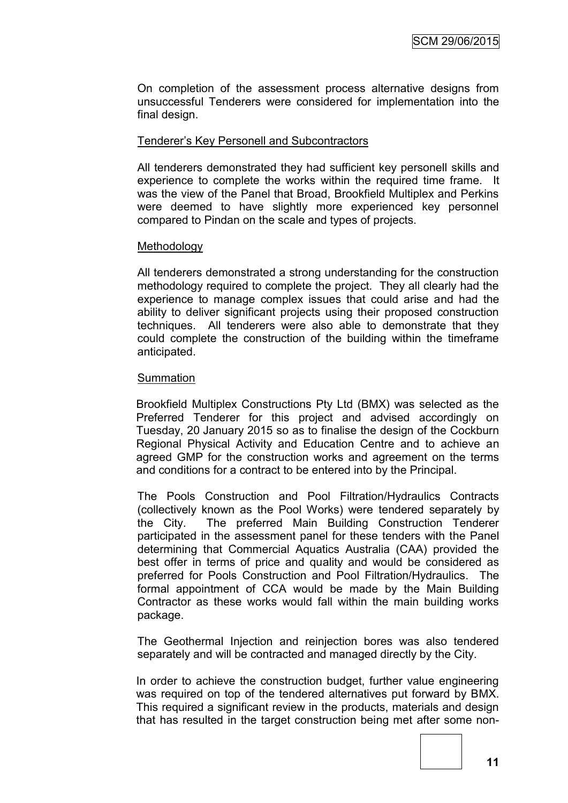On completion of the assessment process alternative designs from unsuccessful Tenderers were considered for implementation into the final design.

# Tenderer"s Key Personell and Subcontractors

All tenderers demonstrated they had sufficient key personell skills and experience to complete the works within the required time frame. It was the view of the Panel that Broad, Brookfield Multiplex and Perkins were deemed to have slightly more experienced key personnel compared to Pindan on the scale and types of projects.

#### **Methodology**

All tenderers demonstrated a strong understanding for the construction methodology required to complete the project. They all clearly had the experience to manage complex issues that could arise and had the ability to deliver significant projects using their proposed construction techniques. All tenderers were also able to demonstrate that they could complete the construction of the building within the timeframe anticipated.

#### Summation

Brookfield Multiplex Constructions Pty Ltd (BMX) was selected as the Preferred Tenderer for this project and advised accordingly on Tuesday, 20 January 2015 so as to finalise the design of the Cockburn Regional Physical Activity and Education Centre and to achieve an agreed GMP for the construction works and agreement on the terms and conditions for a contract to be entered into by the Principal.

The Pools Construction and Pool Filtration/Hydraulics Contracts (collectively known as the Pool Works) were tendered separately by the City. The preferred Main Building Construction Tenderer participated in the assessment panel for these tenders with the Panel determining that Commercial Aquatics Australia (CAA) provided the best offer in terms of price and quality and would be considered as preferred for Pools Construction and Pool Filtration/Hydraulics. The formal appointment of CCA would be made by the Main Building Contractor as these works would fall within the main building works package.

The Geothermal Injection and reinjection bores was also tendered separately and will be contracted and managed directly by the City.

In order to achieve the construction budget, further value engineering was required on top of the tendered alternatives put forward by BMX. This required a significant review in the products, materials and design that has resulted in the target construction being met after some non-

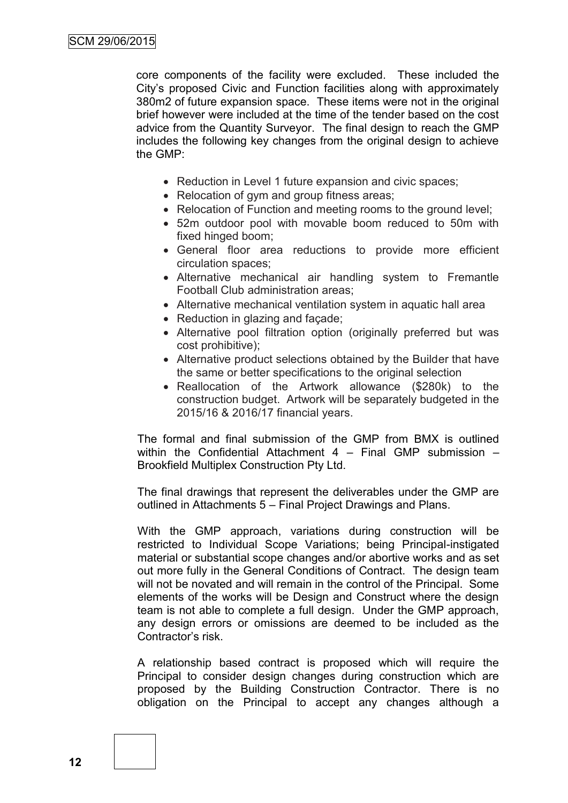core components of the facility were excluded. These included the City"s proposed Civic and Function facilities along with approximately 380m2 of future expansion space. These items were not in the original brief however were included at the time of the tender based on the cost advice from the Quantity Surveyor. The final design to reach the GMP includes the following key changes from the original design to achieve the GMP:

- Reduction in Level 1 future expansion and civic spaces;
- Relocation of gym and group fitness areas;
- Relocation of Function and meeting rooms to the ground level;
- 52m outdoor pool with movable boom reduced to 50m with fixed hinged boom;
- General floor area reductions to provide more efficient circulation spaces;
- Alternative mechanical air handling system to Fremantle Football Club administration areas;
- Alternative mechanical ventilation system in aquatic hall area
- Reduction in glazing and facade;
- Alternative pool filtration option (originally preferred but was cost prohibitive);
- Alternative product selections obtained by the Builder that have the same or better specifications to the original selection
- Reallocation of the Artwork allowance (\$280k) to the construction budget. Artwork will be separately budgeted in the 2015/16 & 2016/17 financial years.

The formal and final submission of the GMP from BMX is outlined within the Confidential Attachment 4 – Final GMP submission – Brookfield Multiplex Construction Pty Ltd.

The final drawings that represent the deliverables under the GMP are outlined in Attachments 5 – Final Project Drawings and Plans.

With the GMP approach, variations during construction will be restricted to Individual Scope Variations; being Principal-instigated material or substantial scope changes and/or abortive works and as set out more fully in the General Conditions of Contract. The design team will not be novated and will remain in the control of the Principal. Some elements of the works will be Design and Construct where the design team is not able to complete a full design. Under the GMP approach, any design errors or omissions are deemed to be included as the Contractor"s risk.

A relationship based contract is proposed which will require the Principal to consider design changes during construction which are proposed by the Building Construction Contractor. There is no obligation on the Principal to accept any changes although a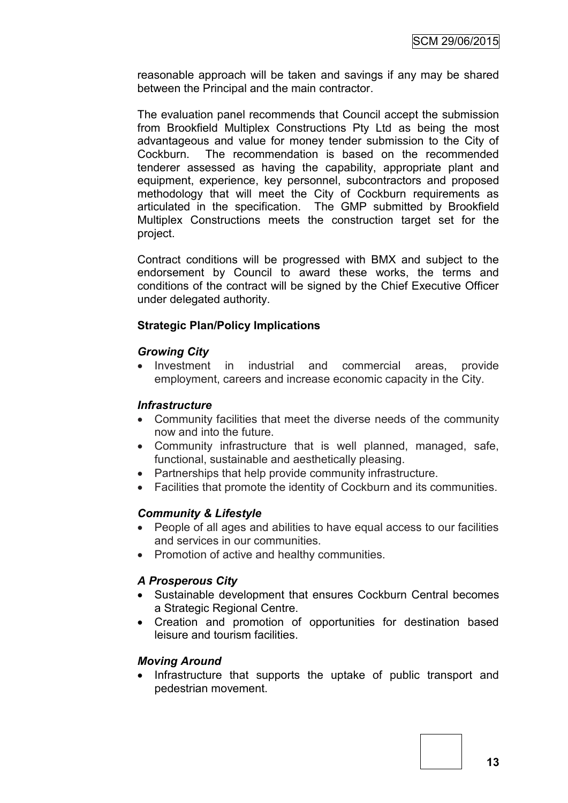reasonable approach will be taken and savings if any may be shared between the Principal and the main contractor.

The evaluation panel recommends that Council accept the submission from Brookfield Multiplex Constructions Pty Ltd as being the most advantageous and value for money tender submission to the City of Cockburn. The recommendation is based on the recommended tenderer assessed as having the capability, appropriate plant and equipment, experience, key personnel, subcontractors and proposed methodology that will meet the City of Cockburn requirements as articulated in the specification. The GMP submitted by Brookfield Multiplex Constructions meets the construction target set for the project.

Contract conditions will be progressed with BMX and subject to the endorsement by Council to award these works, the terms and conditions of the contract will be signed by the Chief Executive Officer under delegated authority.

# **Strategic Plan/Policy Implications**

# *Growing City*

• Investment in industrial and commercial areas, provide employment, careers and increase economic capacity in the City.

# *Infrastructure*

- Community facilities that meet the diverse needs of the community now and into the future.
- Community infrastructure that is well planned, managed, safe, functional, sustainable and aesthetically pleasing.
- Partnerships that help provide community infrastructure.
- Facilities that promote the identity of Cockburn and its communities.

# *Community & Lifestyle*

- People of all ages and abilities to have equal access to our facilities and services in our communities.
- Promotion of active and healthy communities.

# *A Prosperous City*

- Sustainable development that ensures Cockburn Central becomes a Strategic Regional Centre.
- Creation and promotion of opportunities for destination based leisure and tourism facilities.

# *Moving Around*

• Infrastructure that supports the uptake of public transport and pedestrian movement.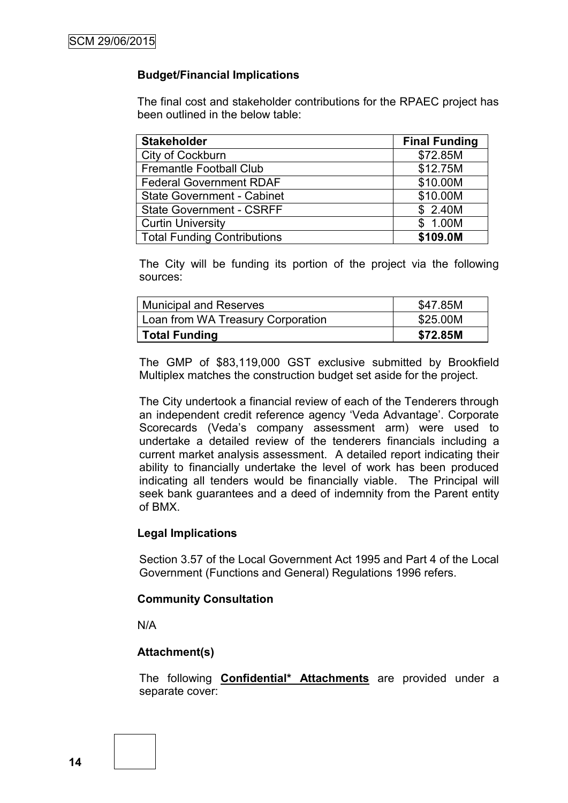# **Budget/Financial Implications**

The final cost and stakeholder contributions for the RPAEC project has been outlined in the below table:

| <b>Stakeholder</b>                 | <b>Final Funding</b> |
|------------------------------------|----------------------|
| City of Cockburn                   | \$72.85M             |
| <b>Fremantle Football Club</b>     | \$12.75M             |
| <b>Federal Government RDAF</b>     | \$10.00M             |
| <b>State Government - Cabinet</b>  | \$10.00M             |
| <b>State Government - CSRFF</b>    | \$2.40M              |
| <b>Curtin University</b>           | \$ 1.00M             |
| <b>Total Funding Contributions</b> | \$109.0M             |

The City will be funding its portion of the project via the following sources:

| <b>Municipal and Reserves</b>     | \$47.85M |
|-----------------------------------|----------|
| Loan from WA Treasury Corporation | \$25.00M |
| <b>Total Funding</b>              | \$72.85M |

The GMP of \$83,119,000 GST exclusive submitted by Brookfield Multiplex matches the construction budget set aside for the project.

The City undertook a financial review of each of the Tenderers through an independent credit reference agency 'Veda Advantage'. Corporate Scorecards (Veda's company assessment arm) were used to undertake a detailed review of the tenderers financials including a current market analysis assessment. A detailed report indicating their ability to financially undertake the level of work has been produced indicating all tenders would be financially viable. The Principal will seek bank guarantees and a deed of indemnity from the Parent entity of BMX.

#### **Legal Implications**

Section 3.57 of the Local Government Act 1995 and Part 4 of the Local Government (Functions and General) Regulations 1996 refers.

#### **Community Consultation**

N/A

# **Attachment(s)**

The following **Confidential\* Attachments** are provided under a separate cover: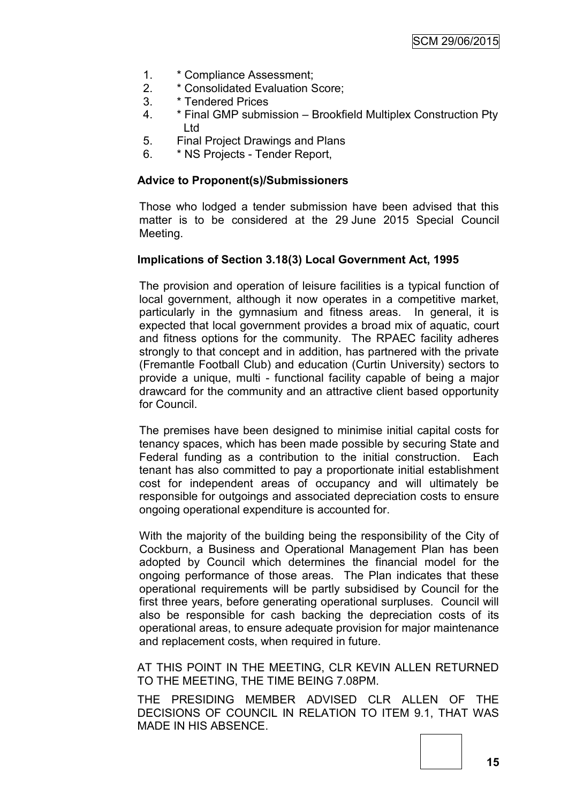- 1. \* Compliance Assessment;
- 2. \* Consolidated Evaluation Score;
- 3. \* Tendered Prices
- 4. \* Final GMP submission Brookfield Multiplex Construction Pty Ltd
- 5. Final Project Drawings and Plans
- 6. \* NS Projects Tender Report,

#### **Advice to Proponent(s)/Submissioners**

Those who lodged a tender submission have been advised that this matter is to be considered at the 29 June 2015 Special Council Meeting.

#### **Implications of Section 3.18(3) Local Government Act, 1995**

The provision and operation of leisure facilities is a typical function of local government, although it now operates in a competitive market, particularly in the gymnasium and fitness areas. In general, it is expected that local government provides a broad mix of aquatic, court and fitness options for the community. The RPAEC facility adheres strongly to that concept and in addition, has partnered with the private (Fremantle Football Club) and education (Curtin University) sectors to provide a unique, multi - functional facility capable of being a major drawcard for the community and an attractive client based opportunity for Council.

The premises have been designed to minimise initial capital costs for tenancy spaces, which has been made possible by securing State and Federal funding as a contribution to the initial construction. Each tenant has also committed to pay a proportionate initial establishment cost for independent areas of occupancy and will ultimately be responsible for outgoings and associated depreciation costs to ensure ongoing operational expenditure is accounted for.

With the majority of the building being the responsibility of the City of Cockburn, a Business and Operational Management Plan has been adopted by Council which determines the financial model for the ongoing performance of those areas. The Plan indicates that these operational requirements will be partly subsidised by Council for the first three years, before generating operational surpluses. Council will also be responsible for cash backing the depreciation costs of its operational areas, to ensure adequate provision for major maintenance and replacement costs, when required in future.

AT THIS POINT IN THE MEETING, CLR KEVIN ALLEN RETURNED TO THE MEETING, THE TIME BEING 7.08PM.

THE PRESIDING MEMBER ADVISED CLR ALLEN OF THE DECISIONS OF COUNCIL IN RELATION TO ITEM 9.1, THAT WAS MADE IN HIS ABSENCE.

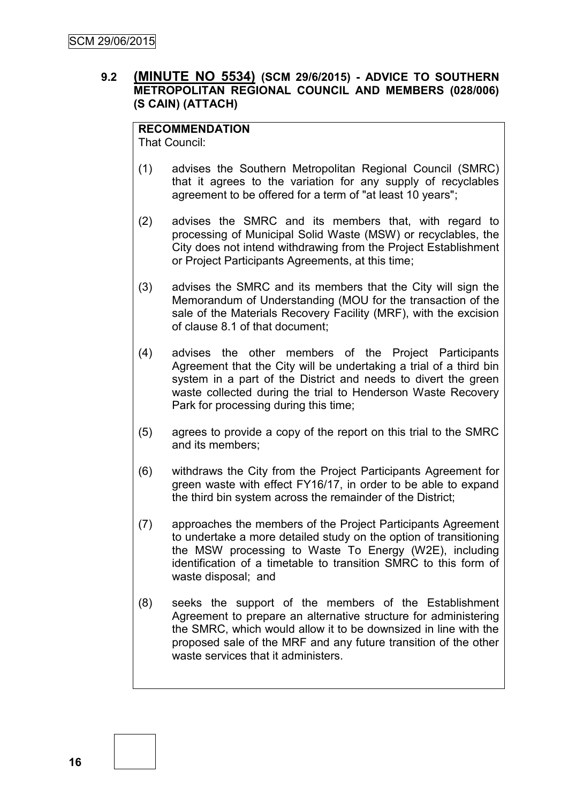# **9.2 (MINUTE NO 5534) (SCM 29/6/2015) - ADVICE TO SOUTHERN METROPOLITAN REGIONAL COUNCIL AND MEMBERS (028/006) (S CAIN) (ATTACH)**

# **RECOMMENDATION**

That Council:

- (1) advises the Southern Metropolitan Regional Council (SMRC) that it agrees to the variation for any supply of recyclables agreement to be offered for a term of "at least 10 years";
- (2) advises the SMRC and its members that, with regard to processing of Municipal Solid Waste (MSW) or recyclables, the City does not intend withdrawing from the Project Establishment or Project Participants Agreements, at this time;
- (3) advises the SMRC and its members that the City will sign the Memorandum of Understanding (MOU for the transaction of the sale of the Materials Recovery Facility (MRF), with the excision of clause 8.1 of that document;
- (4) advises the other members of the Project Participants Agreement that the City will be undertaking a trial of a third bin system in a part of the District and needs to divert the green waste collected during the trial to Henderson Waste Recovery Park for processing during this time;
- (5) agrees to provide a copy of the report on this trial to the SMRC and its members;
- (6) withdraws the City from the Project Participants Agreement for green waste with effect FY16/17, in order to be able to expand the third bin system across the remainder of the District;
- (7) approaches the members of the Project Participants Agreement to undertake a more detailed study on the option of transitioning the MSW processing to Waste To Energy (W2E), including identification of a timetable to transition SMRC to this form of waste disposal; and
- (8) seeks the support of the members of the Establishment Agreement to prepare an alternative structure for administering the SMRC, which would allow it to be downsized in line with the proposed sale of the MRF and any future transition of the other waste services that it administers.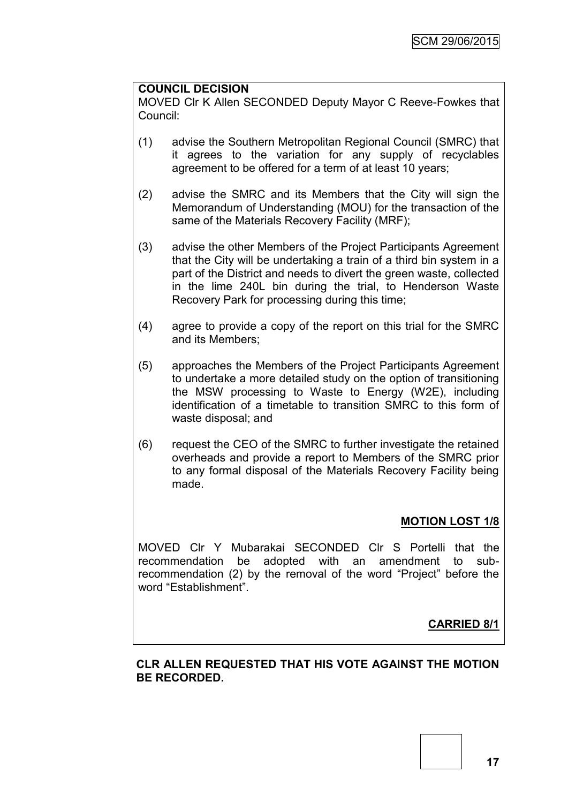# **COUNCIL DECISION**

MOVED Clr K Allen SECONDED Deputy Mayor C Reeve-Fowkes that Council:

- (1) advise the Southern Metropolitan Regional Council (SMRC) that it agrees to the variation for any supply of recyclables agreement to be offered for a term of at least 10 years;
- (2) advise the SMRC and its Members that the City will sign the Memorandum of Understanding (MOU) for the transaction of the same of the Materials Recovery Facility (MRF);
- (3) advise the other Members of the Project Participants Agreement that the City will be undertaking a train of a third bin system in a part of the District and needs to divert the green waste, collected in the lime 240L bin during the trial, to Henderson Waste Recovery Park for processing during this time;
- (4) agree to provide a copy of the report on this trial for the SMRC and its Members;
- (5) approaches the Members of the Project Participants Agreement to undertake a more detailed study on the option of transitioning the MSW processing to Waste to Energy (W2E), including identification of a timetable to transition SMRC to this form of waste disposal; and
- (6) request the CEO of the SMRC to further investigate the retained overheads and provide a report to Members of the SMRC prior to any formal disposal of the Materials Recovery Facility being made.

# **MOTION LOST 1/8**

MOVED Clr Y Mubarakai SECONDED Clr S Portelli that the recommendation be adopted with an amendment to subrecommendation (2) by the removal of the word "Project" before the word "Establishment".

# **CARRIED 8/1**

# **CLR ALLEN REQUESTED THAT HIS VOTE AGAINST THE MOTION BE RECORDED.**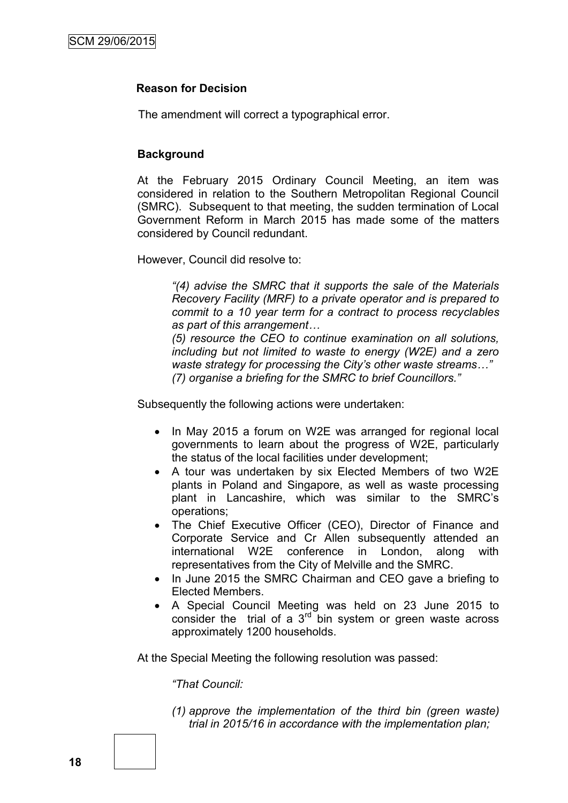### **Reason for Decision**

The amendment will correct a typographical error.

### **Background**

At the February 2015 Ordinary Council Meeting, an item was considered in relation to the Southern Metropolitan Regional Council (SMRC). Subsequent to that meeting, the sudden termination of Local Government Reform in March 2015 has made some of the matters considered by Council redundant.

However, Council did resolve to:

*"(4) advise the SMRC that it supports the sale of the Materials Recovery Facility (MRF) to a private operator and is prepared to commit to a 10 year term for a contract to process recyclables as part of this arrangement…*

*(5) resource the CEO to continue examination on all solutions, including but not limited to waste to energy (W2E) and a zero waste strategy for processing the City's other waste streams…" (7) organise a briefing for the SMRC to brief Councillors."*

Subsequently the following actions were undertaken:

- In May 2015 a forum on W2E was arranged for regional local governments to learn about the progress of W2E, particularly the status of the local facilities under development;
- A tour was undertaken by six Elected Members of two W2E plants in Poland and Singapore, as well as waste processing plant in Lancashire, which was similar to the SMRC"s operations;
- The Chief Executive Officer (CEO), Director of Finance and Corporate Service and Cr Allen subsequently attended an international W2E conference in London, along with representatives from the City of Melville and the SMRC.
- In June 2015 the SMRC Chairman and CEO gave a briefing to Elected Members.
- A Special Council Meeting was held on 23 June 2015 to consider the trial of a  $3<sup>rd</sup>$  bin system or green waste across approximately 1200 households.

At the Special Meeting the following resolution was passed:

*"That Council:*

*(1) approve the implementation of the third bin (green waste) trial in 2015/16 in accordance with the implementation plan;*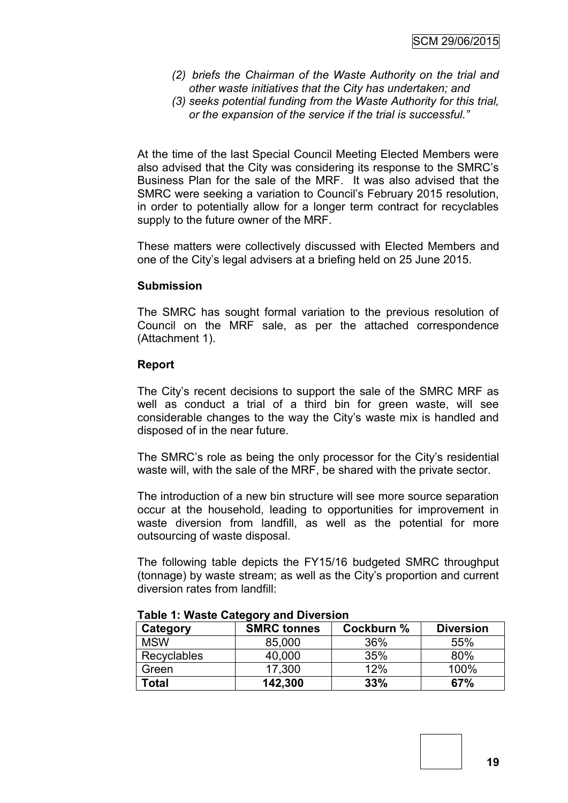- *(2) briefs the Chairman of the Waste Authority on the trial and other waste initiatives that the City has undertaken; and*
- *(3) seeks potential funding from the Waste Authority for this trial, or the expansion of the service if the trial is successful."*

At the time of the last Special Council Meeting Elected Members were also advised that the City was considering its response to the SMRC"s Business Plan for the sale of the MRF. It was also advised that the SMRC were seeking a variation to Council"s February 2015 resolution, in order to potentially allow for a longer term contract for recyclables supply to the future owner of the MRF.

These matters were collectively discussed with Elected Members and one of the City"s legal advisers at a briefing held on 25 June 2015.

# **Submission**

The SMRC has sought formal variation to the previous resolution of Council on the MRF sale, as per the attached correspondence (Attachment 1).

# **Report**

The City"s recent decisions to support the sale of the SMRC MRF as well as conduct a trial of a third bin for green waste, will see considerable changes to the way the City"s waste mix is handled and disposed of in the near future.

The SMRC's role as being the only processor for the City's residential waste will, with the sale of the MRF, be shared with the private sector.

The introduction of a new bin structure will see more source separation occur at the household, leading to opportunities for improvement in waste diversion from landfill, as well as the potential for more outsourcing of waste disposal.

The following table depicts the FY15/16 budgeted SMRC throughput (tonnage) by waste stream; as well as the City"s proportion and current diversion rates from landfill:

| Category           | <b>SMRC tonnes</b> | Cockburn % | <b>Diversion</b> |
|--------------------|--------------------|------------|------------------|
| <b>MSW</b>         | 85,000             | 36%        | 55%              |
| <b>Recyclables</b> | 40,000             | 35%        | 80%              |
| Green              | 17,300             | 12%        | 100%             |
| Total              | 142,300            | 33%        | 67%              |

**Table 1: Waste Category and Diversion**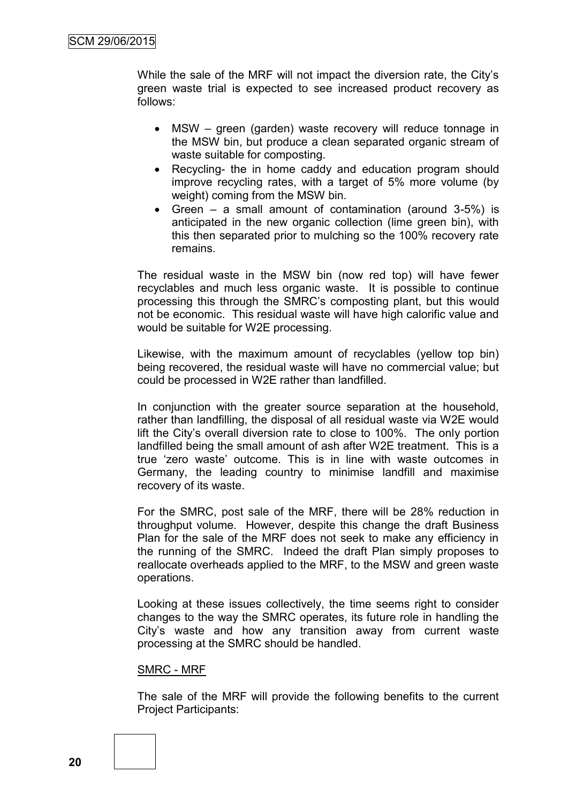While the sale of the MRF will not impact the diversion rate, the City"s green waste trial is expected to see increased product recovery as follows:

- MSW green (garden) waste recovery will reduce tonnage in the MSW bin, but produce a clean separated organic stream of waste suitable for composting.
- Recycling- the in home caddy and education program should improve recycling rates, with a target of 5% more volume (by weight) coming from the MSW bin.
- Green a small amount of contamination (around 3-5%) is anticipated in the new organic collection (lime green bin), with this then separated prior to mulching so the 100% recovery rate remains.

The residual waste in the MSW bin (now red top) will have fewer recyclables and much less organic waste. It is possible to continue processing this through the SMRC"s composting plant, but this would not be economic. This residual waste will have high calorific value and would be suitable for W2E processing.

Likewise, with the maximum amount of recyclables (yellow top bin) being recovered, the residual waste will have no commercial value; but could be processed in W2E rather than landfilled.

In conjunction with the greater source separation at the household, rather than landfilling, the disposal of all residual waste via W2E would lift the City"s overall diversion rate to close to 100%. The only portion landfilled being the small amount of ash after W2E treatment. This is a true "zero waste" outcome. This is in line with waste outcomes in Germany, the leading country to minimise landfill and maximise recovery of its waste.

For the SMRC, post sale of the MRF, there will be 28% reduction in throughput volume. However, despite this change the draft Business Plan for the sale of the MRF does not seek to make any efficiency in the running of the SMRC. Indeed the draft Plan simply proposes to reallocate overheads applied to the MRF, to the MSW and green waste operations.

Looking at these issues collectively, the time seems right to consider changes to the way the SMRC operates, its future role in handling the City"s waste and how any transition away from current waste processing at the SMRC should be handled.

#### SMRC - MRF

The sale of the MRF will provide the following benefits to the current Project Participants: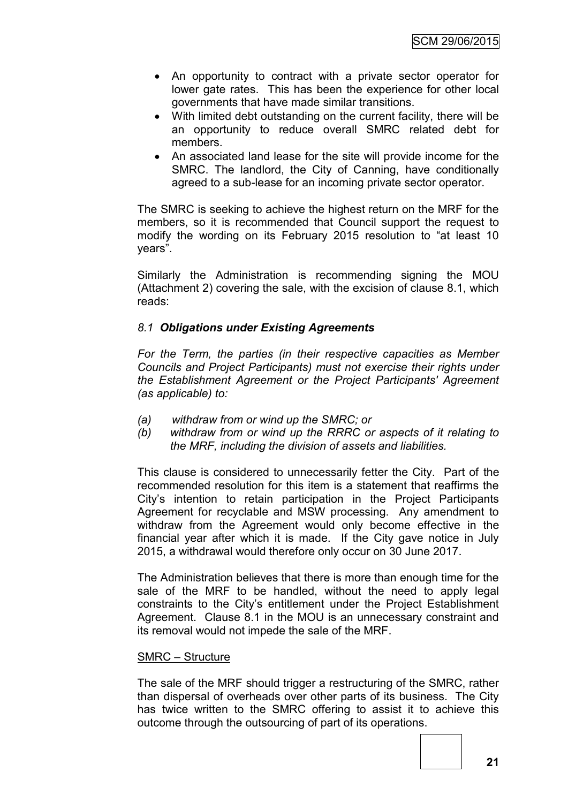- An opportunity to contract with a private sector operator for lower gate rates. This has been the experience for other local governments that have made similar transitions.
- With limited debt outstanding on the current facility, there will be an opportunity to reduce overall SMRC related debt for members.
- An associated land lease for the site will provide income for the SMRC. The landlord, the City of Canning, have conditionally agreed to a sub-lease for an incoming private sector operator.

The SMRC is seeking to achieve the highest return on the MRF for the members, so it is recommended that Council support the request to modify the wording on its February 2015 resolution to "at least 10 years".

Similarly the Administration is recommending signing the MOU (Attachment 2) covering the sale, with the excision of clause 8.1, which reads:

# *8.1 Obligations under Existing Agreements*

*For the Term, the parties (in their respective capacities as Member Councils and Project Participants) must not exercise their rights under the Establishment Agreement or the Project Participants' Agreement (as applicable) to:*

- *(a) withdraw from or wind up the SMRC; or*
- *(b) withdraw from or wind up the RRRC or aspects of it relating to the MRF, including the division of assets and liabilities.*

This clause is considered to unnecessarily fetter the City. Part of the recommended resolution for this item is a statement that reaffirms the City"s intention to retain participation in the Project Participants Agreement for recyclable and MSW processing. Any amendment to withdraw from the Agreement would only become effective in the financial year after which it is made. If the City gave notice in July 2015, a withdrawal would therefore only occur on 30 June 2017.

The Administration believes that there is more than enough time for the sale of the MRF to be handled, without the need to apply legal constraints to the City"s entitlement under the Project Establishment Agreement. Clause 8.1 in the MOU is an unnecessary constraint and its removal would not impede the sale of the MRF.

#### SMRC – Structure

The sale of the MRF should trigger a restructuring of the SMRC, rather than dispersal of overheads over other parts of its business. The City has twice written to the SMRC offering to assist it to achieve this outcome through the outsourcing of part of its operations.

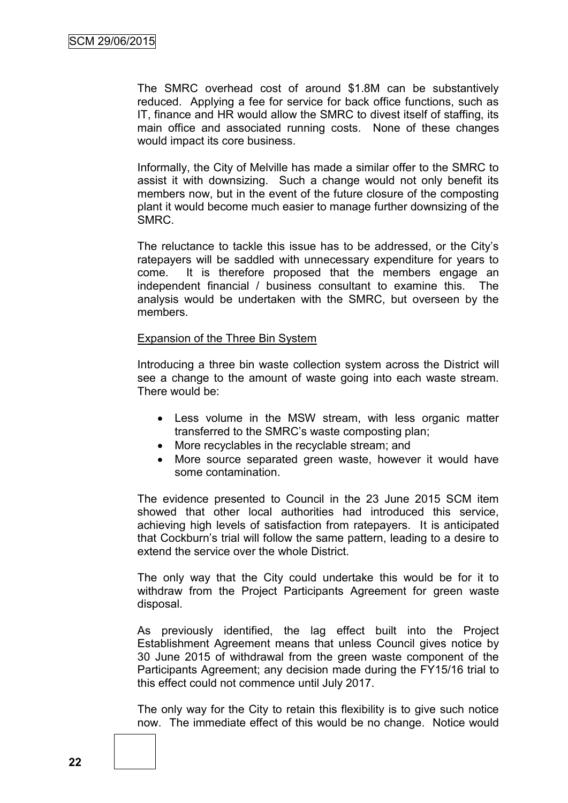The SMRC overhead cost of around \$1.8M can be substantively reduced. Applying a fee for service for back office functions, such as IT, finance and HR would allow the SMRC to divest itself of staffing, its main office and associated running costs. None of these changes would impact its core business.

Informally, the City of Melville has made a similar offer to the SMRC to assist it with downsizing. Such a change would not only benefit its members now, but in the event of the future closure of the composting plant it would become much easier to manage further downsizing of the SMRC.

The reluctance to tackle this issue has to be addressed, or the City"s ratepayers will be saddled with unnecessary expenditure for years to come. It is therefore proposed that the members engage an independent financial / business consultant to examine this. The analysis would be undertaken with the SMRC, but overseen by the members.

#### Expansion of the Three Bin System

Introducing a three bin waste collection system across the District will see a change to the amount of waste going into each waste stream. There would be:

- Less volume in the MSW stream, with less organic matter transferred to the SMRC"s waste composting plan;
- More recyclables in the recyclable stream; and
- More source separated green waste, however it would have some contamination.

The evidence presented to Council in the 23 June 2015 SCM item showed that other local authorities had introduced this service, achieving high levels of satisfaction from ratepayers. It is anticipated that Cockburn"s trial will follow the same pattern, leading to a desire to extend the service over the whole District.

The only way that the City could undertake this would be for it to withdraw from the Project Participants Agreement for green waste disposal.

As previously identified, the lag effect built into the Project Establishment Agreement means that unless Council gives notice by 30 June 2015 of withdrawal from the green waste component of the Participants Agreement; any decision made during the FY15/16 trial to this effect could not commence until July 2017.

The only way for the City to retain this flexibility is to give such notice now. The immediate effect of this would be no change. Notice would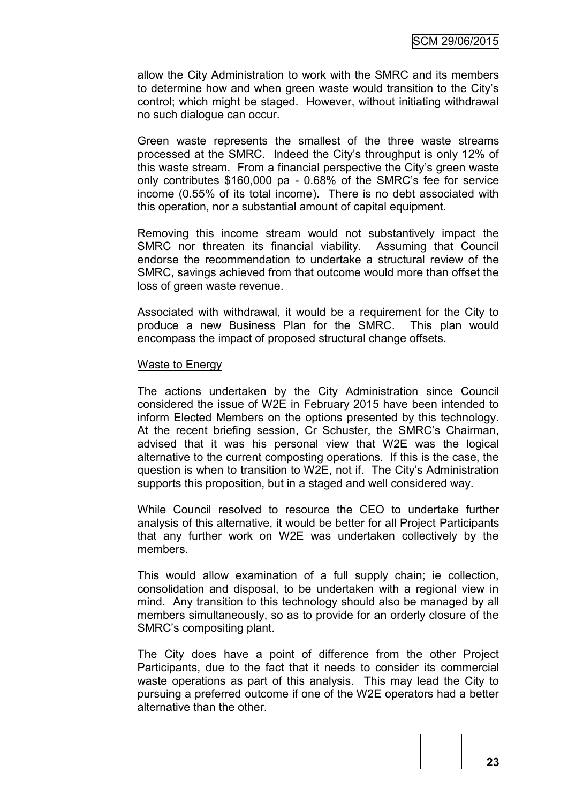allow the City Administration to work with the SMRC and its members to determine how and when green waste would transition to the City"s control; which might be staged. However, without initiating withdrawal no such dialogue can occur.

Green waste represents the smallest of the three waste streams processed at the SMRC. Indeed the City"s throughput is only 12% of this waste stream. From a financial perspective the City"s green waste only contributes \$160,000 pa - 0.68% of the SMRC"s fee for service income (0.55% of its total income). There is no debt associated with this operation, nor a substantial amount of capital equipment.

Removing this income stream would not substantively impact the SMRC nor threaten its financial viability. Assuming that Council endorse the recommendation to undertake a structural review of the SMRC, savings achieved from that outcome would more than offset the loss of green waste revenue.

Associated with withdrawal, it would be a requirement for the City to produce a new Business Plan for the SMRC. This plan would encompass the impact of proposed structural change offsets.

#### Waste to Energy

The actions undertaken by the City Administration since Council considered the issue of W2E in February 2015 have been intended to inform Elected Members on the options presented by this technology. At the recent briefing session, Cr Schuster, the SMRC"s Chairman, advised that it was his personal view that W2E was the logical alternative to the current composting operations. If this is the case, the question is when to transition to W2E, not if. The City"s Administration supports this proposition, but in a staged and well considered way.

While Council resolved to resource the CEO to undertake further analysis of this alternative, it would be better for all Project Participants that any further work on W2E was undertaken collectively by the members.

This would allow examination of a full supply chain; ie collection, consolidation and disposal, to be undertaken with a regional view in mind. Any transition to this technology should also be managed by all members simultaneously, so as to provide for an orderly closure of the SMRC"s compositing plant.

The City does have a point of difference from the other Project Participants, due to the fact that it needs to consider its commercial waste operations as part of this analysis. This may lead the City to pursuing a preferred outcome if one of the W2E operators had a better alternative than the other.



**23**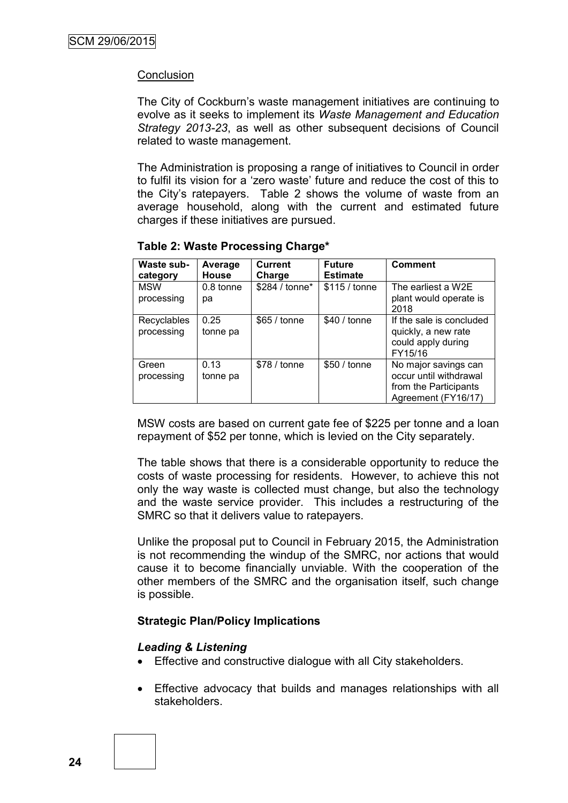### **Conclusion**

The City of Cockburn"s waste management initiatives are continuing to evolve as it seeks to implement its *Waste Management and Education Strategy 2013-23*, as well as other subsequent decisions of Council related to waste management.

The Administration is proposing a range of initiatives to Council in order to fulfil its vision for a "zero waste" future and reduce the cost of this to the City"s ratepayers. Table 2 shows the volume of waste from an average household, along with the current and estimated future charges if these initiatives are pursued.

| Waste sub-<br>category    | Average<br><b>House</b> | <b>Current</b><br>Charge | <b>Future</b><br><b>Estimate</b> | <b>Comment</b>                                                                                 |
|---------------------------|-------------------------|--------------------------|----------------------------------|------------------------------------------------------------------------------------------------|
| <b>MSW</b><br>processing  | 0.8 tonne<br>рa         | \$284 / tonne*           | \$115 / tonne                    | The earliest a W2E<br>plant would operate is<br>2018                                           |
| Recyclables<br>processing | 0.25<br>tonne pa        | \$65 / tonne             | \$40 / tonne                     | If the sale is concluded<br>quickly, a new rate<br>could apply during<br>FY15/16               |
| Green<br>processing       | 0.13<br>tonne pa        | \$78 / tonne             | \$50/tonne                       | No major savings can<br>occur until withdrawal<br>from the Participants<br>Agreement (FY16/17) |

#### **Table 2: Waste Processing Charge\***

MSW costs are based on current gate fee of \$225 per tonne and a loan repayment of \$52 per tonne, which is levied on the City separately.

The table shows that there is a considerable opportunity to reduce the costs of waste processing for residents. However, to achieve this not only the way waste is collected must change, but also the technology and the waste service provider. This includes a restructuring of the SMRC so that it delivers value to ratepayers.

Unlike the proposal put to Council in February 2015, the Administration is not recommending the windup of the SMRC, nor actions that would cause it to become financially unviable. With the cooperation of the other members of the SMRC and the organisation itself, such change is possible.

# **Strategic Plan/Policy Implications**

#### *Leading & Listening*

- Effective and constructive dialogue with all City stakeholders.
- Effective advocacy that builds and manages relationships with all stakeholders.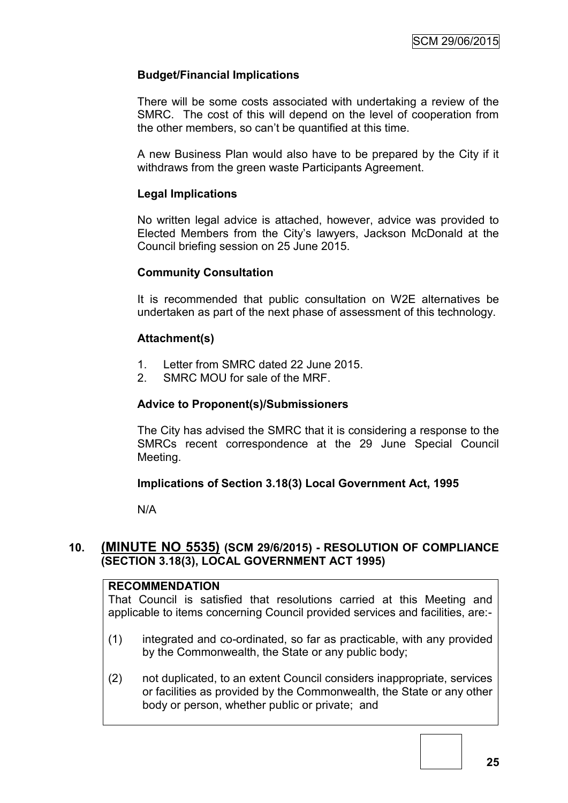# **Budget/Financial Implications**

There will be some costs associated with undertaking a review of the SMRC. The cost of this will depend on the level of cooperation from the other members, so can"t be quantified at this time.

A new Business Plan would also have to be prepared by the City if it withdraws from the green waste Participants Agreement.

# **Legal Implications**

No written legal advice is attached, however, advice was provided to Elected Members from the City"s lawyers, Jackson McDonald at the Council briefing session on 25 June 2015.

# **Community Consultation**

It is recommended that public consultation on W2E alternatives be undertaken as part of the next phase of assessment of this technology.

# **Attachment(s)**

- 1. Letter from SMRC dated 22 June 2015.
- 2. SMRC MOU for sale of the MRF.

### **Advice to Proponent(s)/Submissioners**

The City has advised the SMRC that it is considering a response to the SMRCs recent correspondence at the 29 June Special Council Meeting.

# **Implications of Section 3.18(3) Local Government Act, 1995**

N/A

# **10. (MINUTE NO 5535) (SCM 29/6/2015) - RESOLUTION OF COMPLIANCE (SECTION 3.18(3), LOCAL GOVERNMENT ACT 1995)**

#### **RECOMMENDATION**

That Council is satisfied that resolutions carried at this Meeting and applicable to items concerning Council provided services and facilities, are:-

- (1) integrated and co-ordinated, so far as practicable, with any provided by the Commonwealth, the State or any public body;
- (2) not duplicated, to an extent Council considers inappropriate, services or facilities as provided by the Commonwealth, the State or any other body or person, whether public or private; and